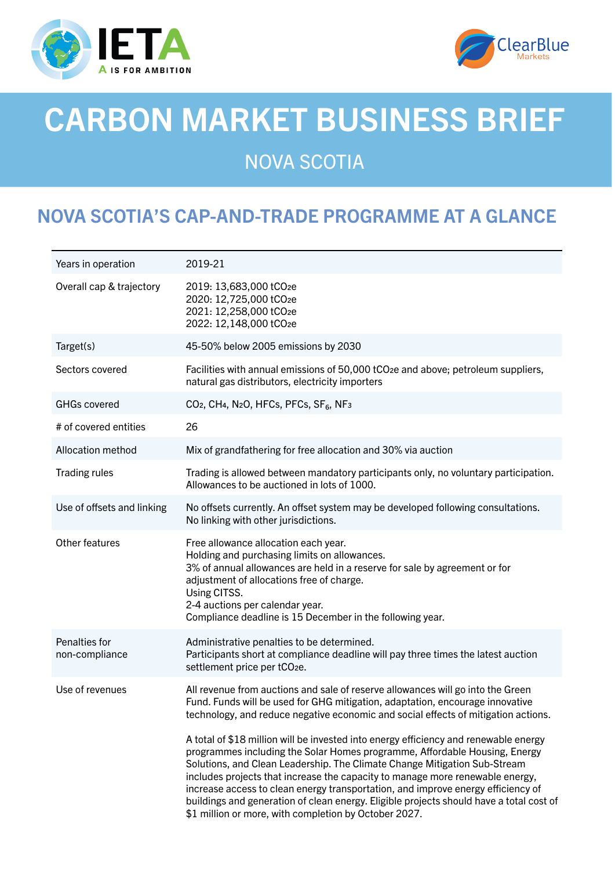



# CARBON MARKET BUSINESS BRIEF

## NOVA SCOTIA

### NOVA SCOTIA'S CAP-AND-TRADE PROGRAMME AT A GLANCE

| Years in operation              | 2019-21                                                                                                                                                                                                                                                                                                                                                                                                                                                                                                                                                                  |
|---------------------------------|--------------------------------------------------------------------------------------------------------------------------------------------------------------------------------------------------------------------------------------------------------------------------------------------------------------------------------------------------------------------------------------------------------------------------------------------------------------------------------------------------------------------------------------------------------------------------|
| Overall cap & trajectory        | 2019: 13,683,000 tCO <sub>2e</sub><br>2020: 12,725,000 tCO2e<br>2021: 12,258,000 tCO2e<br>2022: 12,148,000 tCO2e                                                                                                                                                                                                                                                                                                                                                                                                                                                         |
| Target(s)                       | 45-50% below 2005 emissions by 2030                                                                                                                                                                                                                                                                                                                                                                                                                                                                                                                                      |
| Sectors covered                 | Facilities with annual emissions of 50,000 tCO <sub>2</sub> e and above; petroleum suppliers,<br>natural gas distributors, electricity importers                                                                                                                                                                                                                                                                                                                                                                                                                         |
| <b>GHGs covered</b>             | CO <sub>2</sub> , CH <sub>4</sub> , N <sub>2</sub> O, HFC <sub>s</sub> , PFC <sub>s</sub> , SF <sub>6</sub> , NF <sub>3</sub>                                                                                                                                                                                                                                                                                                                                                                                                                                            |
| # of covered entities           | 26                                                                                                                                                                                                                                                                                                                                                                                                                                                                                                                                                                       |
| <b>Allocation method</b>        | Mix of grandfathering for free allocation and 30% via auction                                                                                                                                                                                                                                                                                                                                                                                                                                                                                                            |
| Trading rules                   | Trading is allowed between mandatory participants only, no voluntary participation.<br>Allowances to be auctioned in lots of 1000.                                                                                                                                                                                                                                                                                                                                                                                                                                       |
| Use of offsets and linking      | No offsets currently. An offset system may be developed following consultations.<br>No linking with other jurisdictions.                                                                                                                                                                                                                                                                                                                                                                                                                                                 |
| Other features                  | Free allowance allocation each year.<br>Holding and purchasing limits on allowances.<br>3% of annual allowances are held in a reserve for sale by agreement or for<br>adjustment of allocations free of charge.<br>Using CITSS.<br>2-4 auctions per calendar year.<br>Compliance deadline is 15 December in the following year.                                                                                                                                                                                                                                          |
| Penalties for<br>non-compliance | Administrative penalties to be determined.<br>Participants short at compliance deadline will pay three times the latest auction<br>settlement price per tCO <sub>2e</sub> .                                                                                                                                                                                                                                                                                                                                                                                              |
| Use of revenues                 | All revenue from auctions and sale of reserve allowances will go into the Green<br>Fund. Funds will be used for GHG mitigation, adaptation, encourage innovative<br>technology, and reduce negative economic and social effects of mitigation actions.                                                                                                                                                                                                                                                                                                                   |
|                                 | A total of \$18 million will be invested into energy efficiency and renewable energy<br>programmes including the Solar Homes programme, Affordable Housing, Energy<br>Solutions, and Clean Leadership. The Climate Change Mitigation Sub-Stream<br>includes projects that increase the capacity to manage more renewable energy,<br>increase access to clean energy transportation, and improve energy efficiency of<br>buildings and generation of clean energy. Eligible projects should have a total cost of<br>\$1 million or more, with completion by October 2027. |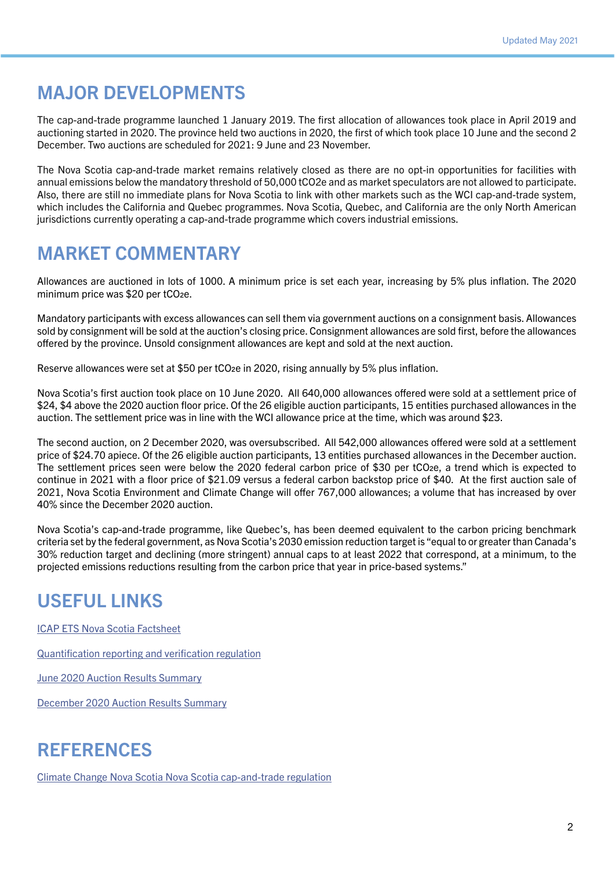#### MAJOR DEVELOPMENTS

The cap-and-trade programme launched 1 January 2019. The first allocation of allowances took place in April 2019 and auctioning started in 2020. The province held two auctions in 2020, the first of which took place 10 June and the second 2 December. Two auctions are scheduled for 2021: 9 June and 23 November.

The Nova Scotia cap-and-trade market remains relatively closed as there are no opt-in opportunities for facilities with annual emissions below the mandatory threshold of 50,000 tCO2e and as market speculators are not allowed to participate. Also, there are still no immediate plans for Nova Scotia to link with other markets such as the WCI cap-and-trade system, which includes the California and Quebec programmes. Nova Scotia, Quebec, and California are the only North American jurisdictions currently operating a cap-and-trade programme which covers industrial emissions.

#### MARKET COMMENTARY

Allowances are auctioned in lots of 1000. A minimum price is set each year, increasing by 5% plus inflation. The 2020 minimum price was \$20 per tCO<sub>2e</sub>.

Mandatory participants with excess allowances can sell them via government auctions on a consignment basis. Allowances sold by consignment will be sold at the auction's closing price. Consignment allowances are sold first, before the allowances offered by the province. Unsold consignment allowances are kept and sold at the next auction.

Reserve allowances were set at \$50 per tCO2e in 2020, rising annually by 5% plus inflation.

Nova Scotia's first auction took place on 10 June 2020. All 640,000 allowances offered were sold at a settlement price of \$24, \$4 above the 2020 auction floor price. Of the 26 eligible auction participants, 15 entities purchased allowances in the auction. The settlement price was in line with the WCI allowance price at the time, which was around \$23.

The second auction, on 2 December 2020, was oversubscribed. All 542,000 allowances offered were sold at a settlement price of \$24.70 apiece. Of the 26 eligible auction participants, 13 entities purchased allowances in the December auction. The settlement prices seen were below the 2020 federal carbon price of \$30 per tCO2e, a trend which is expected to continue in 2021 with a floor price of \$21.09 versus a federal carbon backstop price of \$40. At the first auction sale of 2021, Nova Scotia Environment and Climate Change will offer 767,000 allowances; a volume that has increased by over 40% since the December 2020 auction.

Nova Scotia's cap-and-trade programme, like Quebec's, has been deemed equivalent to the carbon pricing benchmark criteria set by the federal government, as Nova Scotia's 2030 emission reduction target is "equal to or greater than Canada's 30% reduction target and declining (more stringent) annual caps to at least 2022 that correspond, at a minimum, to the projected emissions reductions resulting from the carbon price that year in price-based systems."

#### USEFUL LINKS

[ICAP ETS Nova Scotia Factsheet](https://icapcarbonaction.com/en?option=com_etsmap&task=export&format=pdf&layout=list)

[Quantification reporting and verification regulation](http://www.novascotia.ca/just/regulations/regs/envqrv.htm)

[June 2020 Auction Results Summary](https://climatechange.novascotia.ca/sites/default/files/Cap-and-Trade_Auction_Emissions_Report.pdf)

[December 2020 Auction Results Summary](https://climatechange.novascotia.ca/sites/default/files/December_2020_Auction_Summary_Results_Report.pdf)

#### **REFERENCES**

[Climate Change Nova Scotia Nova Scotia cap-and-trade regulation](http://www.novascotia.ca/just/regulations/regs/envcapandtrade.htm#TOC2_1)